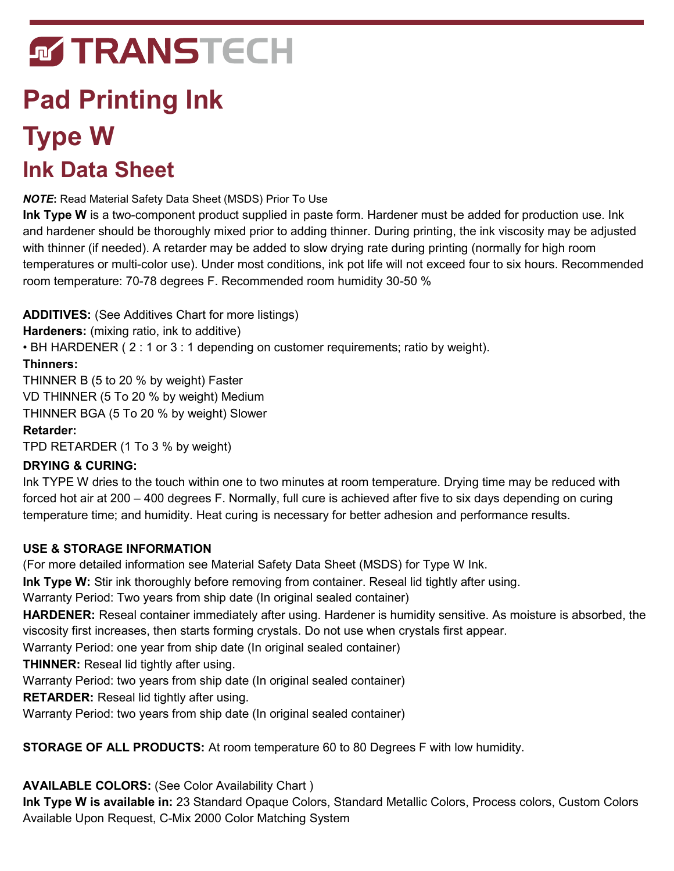# **MTRANSTECH**

# **Pad Printing Ink Type W Ink Data Sheet**

*NOTE***:** Read Material Safety Data Sheet (MSDS) Prior To Use

**Ink Type W** is a two-component product supplied in paste form. Hardener must be added for production use. Ink and hardener should be thoroughly mixed prior to adding thinner. During printing, the ink viscosity may be adjusted with thinner (if needed). A retarder may be added to slow drying rate during printing (normally for high room temperatures or multi-color use). Under most conditions, ink pot life will not exceed four to six hours. Recommended room temperature: 70-78 degrees F. Recommended room humidity 30-50 %

**ADDITIVES:** (See Additives Chart for more listings)

**Hardeners:** (mixing ratio, ink to additive)

• BH HARDENER ( 2 : 1 or 3 : 1 depending on customer requirements; ratio by weight).

### **Thinners:**

THINNER B (5 to 20 % by weight) Faster VD THINNER (5 To 20 % by weight) Medium THINNER BGA (5 To 20 % by weight) Slower

### **Retarder:**

TPD RETARDER (1 To 3 % by weight)

## **DRYING & CURING:**

Ink TYPE W dries to the touch within one to two minutes at room temperature. Drying time may be reduced with forced hot air at 200 – 400 degrees F. Normally, full cure is achieved after five to six days depending on curing temperature time; and humidity. Heat curing is necessary for better adhesion and performance results.

## **USE & STORAGE INFORMATION**

(For more detailed information see Material Safety Data Sheet (MSDS) for Type W Ink.

**Ink Type W:** Stir ink thoroughly before removing from container. Reseal lid tightly after using.

Warranty Period: Two years from ship date (In original sealed container)

**HARDENER:** Reseal container immediately after using. Hardener is humidity sensitive. As moisture is absorbed, the viscosity first increases, then starts forming crystals. Do not use when crystals first appear.

Warranty Period: one year from ship date (In original sealed container)

**THINNER:** Reseal lid tightly after using.

Warranty Period: two years from ship date (In original sealed container)

**RETARDER:** Reseal lid tightly after using.

Warranty Period: two years from ship date (In original sealed container)

**STORAGE OF ALL PRODUCTS:** At room temperature 60 to 80 Degrees F with low humidity.

**AVAILABLE COLORS:** (See Color Availability Chart )

**Ink Type W is available in:** 23 Standard Opaque Colors, Standard Metallic Colors, Process colors, Custom Colors Available Upon Request, C-Mix 2000 Color Matching System